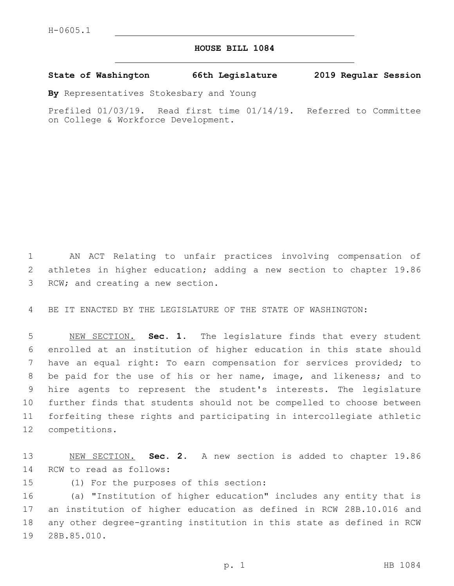## **HOUSE BILL 1084**

## **State of Washington 66th Legislature 2019 Regular Session**

**By** Representatives Stokesbary and Young

Prefiled 01/03/19. Read first time 01/14/19. Referred to Committee on College & Workforce Development.

1 AN ACT Relating to unfair practices involving compensation of 2 athletes in higher education; adding a new section to chapter 19.86 3 RCW; and creating a new section.

4 BE IT ENACTED BY THE LEGISLATURE OF THE STATE OF WASHINGTON:

 NEW SECTION. **Sec. 1.** The legislature finds that every student enrolled at an institution of higher education in this state should have an equal right: To earn compensation for services provided; to be paid for the use of his or her name, image, and likeness; and to hire agents to represent the student's interests. The legislature further finds that students should not be compelled to choose between forfeiting these rights and participating in intercollegiate athletic competitions.

13 NEW SECTION. **Sec. 2.** A new section is added to chapter 19.86 14 RCW to read as follows:

15 (1) For the purposes of this section:

 (a) "Institution of higher education" includes any entity that is an institution of higher education as defined in RCW 28B.10.016 and any other degree-granting institution in this state as defined in RCW 19 28B.85.010.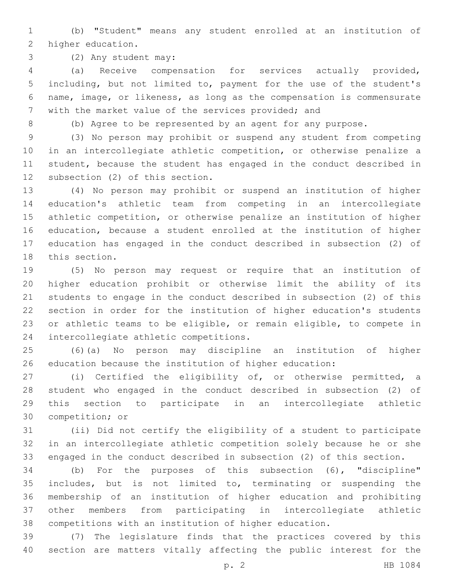(b) "Student" means any student enrolled at an institution of 2 higher education.

(2) Any student may:3

 (a) Receive compensation for services actually provided, including, but not limited to, payment for the use of the student's name, image, or likeness, as long as the compensation is commensurate with the market value of the services provided; and

(b) Agree to be represented by an agent for any purpose.

 (3) No person may prohibit or suspend any student from competing in an intercollegiate athletic competition, or otherwise penalize a student, because the student has engaged in the conduct described in 12 subsection (2) of this section.

 (4) No person may prohibit or suspend an institution of higher education's athletic team from competing in an intercollegiate athletic competition, or otherwise penalize an institution of higher education, because a student enrolled at the institution of higher education has engaged in the conduct described in subsection (2) of 18 this section.

 (5) No person may request or require that an institution of higher education prohibit or otherwise limit the ability of its students to engage in the conduct described in subsection (2) of this section in order for the institution of higher education's students or athletic teams to be eligible, or remain eligible, to compete in 24 intercollegiate athletic competitions.

 (6)(a) No person may discipline an institution of higher education because the institution of higher education:

 (i) Certified the eligibility of, or otherwise permitted, a student who engaged in the conduct described in subsection (2) of this section to participate in an intercollegiate athletic 30 competition; or

 (ii) Did not certify the eligibility of a student to participate in an intercollegiate athletic competition solely because he or she engaged in the conduct described in subsection (2) of this section.

 (b) For the purposes of this subsection (6), "discipline" includes, but is not limited to, terminating or suspending the membership of an institution of higher education and prohibiting other members from participating in intercollegiate athletic competitions with an institution of higher education.

 (7) The legislature finds that the practices covered by this section are matters vitally affecting the public interest for the

p. 2 HB 1084